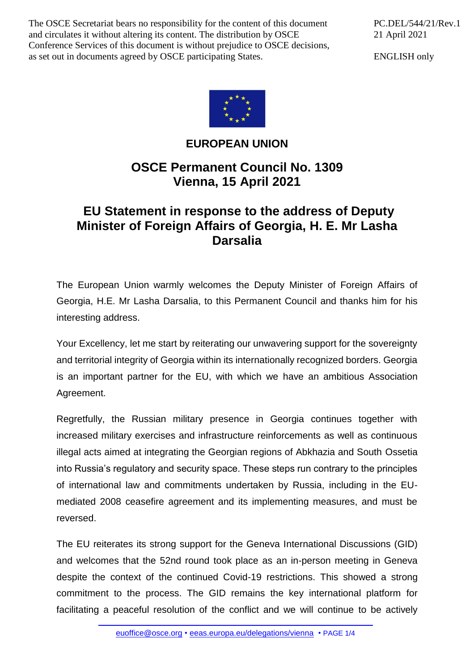The OSCE Secretariat bears no responsibility for the content of this document and circulates it without altering its content. The distribution by OSCE Conference Services of this document is without prejudice to OSCE decisions, as set out in documents agreed by OSCE participating States.

PC.DEL/544/21/Rev.1 21 April 2021

ENGLISH only



## **EUROPEAN UNION**

## **OSCE Permanent Council No. 1309 Vienna, 15 April 2021**

## **EU Statement in response to the address of Deputy Minister of Foreign Affairs of Georgia, H. E. Mr Lasha Darsalia**

The European Union warmly welcomes the Deputy Minister of Foreign Affairs of Georgia, H.E. Mr Lasha Darsalia, to this Permanent Council and thanks him for his interesting address.

Your Excellency, let me start by reiterating our unwavering support for the sovereignty and territorial integrity of Georgia within its internationally recognized borders. Georgia is an important partner for the EU, with which we have an ambitious Association Agreement.

Regretfully, the Russian military presence in Georgia continues together with increased military exercises and infrastructure reinforcements as well as continuous illegal acts aimed at integrating the Georgian regions of Abkhazia and South Ossetia into Russia's regulatory and security space. These steps run contrary to the principles of international law and commitments undertaken by Russia, including in the EUmediated 2008 ceasefire agreement and its implementing measures, and must be reversed.

The EU reiterates its strong support for the Geneva International Discussions (GID) and welcomes that the 52nd round took place as an in-person meeting in Geneva despite the context of the continued Covid-19 restrictions. This showed a strong commitment to the process. The GID remains the key international platform for facilitating a peaceful resolution of the conflict and we will continue to be actively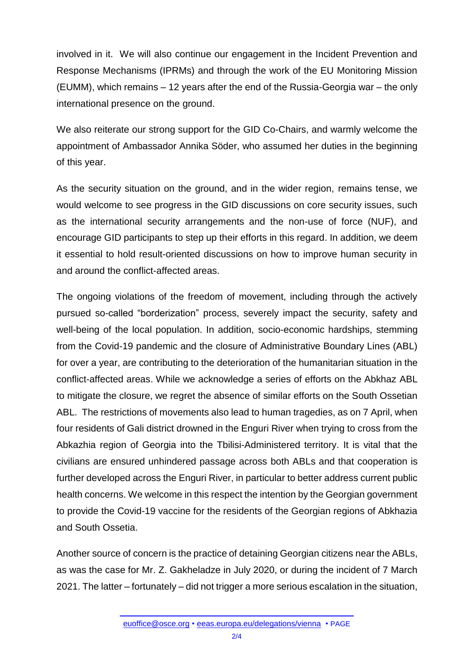involved in it. We will also continue our engagement in the Incident Prevention and Response Mechanisms (IPRMs) and through the work of the EU Monitoring Mission (EUMM), which remains – 12 years after the end of the Russia-Georgia war – the only international presence on the ground.

We also reiterate our strong support for the GID Co-Chairs, and warmly welcome the appointment of Ambassador Annika Söder, who assumed her duties in the beginning of this year.

As the security situation on the ground, and in the wider region, remains tense, we would welcome to see progress in the GID discussions on core security issues, such as the international security arrangements and the non-use of force (NUF), and encourage GID participants to step up their efforts in this regard. In addition, we deem it essential to hold result-oriented discussions on how to improve human security in and around the conflict-affected areas.

The ongoing violations of the freedom of movement, including through the actively pursued so-called "borderization" process, severely impact the security, safety and well-being of the local population. In addition, socio-economic hardships, stemming from the Covid-19 pandemic and the closure of Administrative Boundary Lines (ABL) for over a year, are contributing to the deterioration of the humanitarian situation in the conflict-affected areas. While we acknowledge a series of efforts on the Abkhaz ABL to mitigate the closure, we regret the absence of similar efforts on the South Ossetian ABL. The restrictions of movements also lead to human tragedies, as on 7 April, when four residents of Gali district drowned in the Enguri River when trying to cross from the Abkazhia region of Georgia into the Tbilisi-Administered territory. It is vital that the civilians are ensured unhindered passage across both ABLs and that cooperation is further developed across the Enguri River, in particular to better address current public health concerns. We welcome in this respect the intention by the Georgian government to provide the Covid-19 vaccine for the residents of the Georgian regions of Abkhazia and South Ossetia.

Another source of concern is the practice of detaining Georgian citizens near the ABLs, as was the case for Mr. Z. Gakheladze in July 2020, or during the incident of 7 March 2021. The latter – fortunately – did not trigger a more serious escalation in the situation,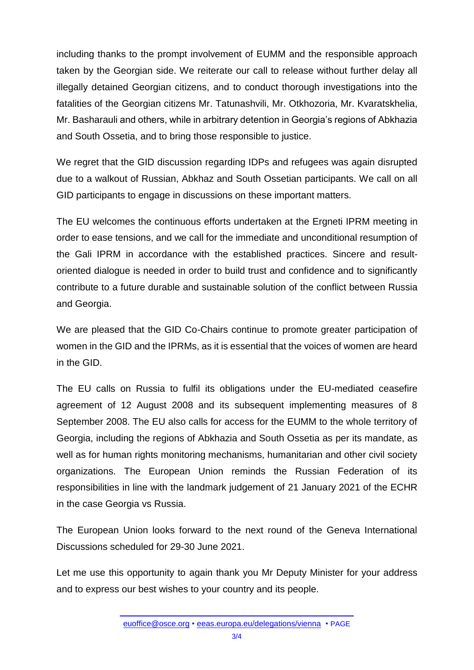including thanks to the prompt involvement of EUMM and the responsible approach taken by the Georgian side. We reiterate our call to release without further delay all illegally detained Georgian citizens, and to conduct thorough investigations into the fatalities of the Georgian citizens Mr. Tatunashvili, Mr. Otkhozoria, Mr. Kvaratskhelia, Mr. Basharauli and others, while in arbitrary detention in Georgia's regions of Abkhazia and South Ossetia, and to bring those responsible to justice.

We regret that the GID discussion regarding IDPs and refugees was again disrupted due to a walkout of Russian, Abkhaz and South Ossetian participants. We call on all GID participants to engage in discussions on these important matters.

The EU welcomes the continuous efforts undertaken at the Ergneti IPRM meeting in order to ease tensions, and we call for the immediate and unconditional resumption of the Gali IPRM in accordance with the established practices. Sincere and resultoriented dialogue is needed in order to build trust and confidence and to significantly contribute to a future durable and sustainable solution of the conflict between Russia and Georgia.

We are pleased that the GID Co-Chairs continue to promote greater participation of women in the GID and the IPRMs, as it is essential that the voices of women are heard in the GID.

The EU calls on Russia to fulfil its obligations under the EU-mediated ceasefire agreement of 12 August 2008 and its subsequent implementing measures of 8 September 2008. The EU also calls for access for the EUMM to the whole territory of Georgia, including the regions of Abkhazia and South Ossetia as per its mandate, as well as for human rights monitoring mechanisms, humanitarian and other civil society organizations. The European Union reminds the Russian Federation of its responsibilities in line with the landmark judgement of 21 January 2021 of the ECHR in the case Georgia vs Russia.

The European Union looks forward to the next round of the Geneva International Discussions scheduled for 29-30 June 2021.

Let me use this opportunity to again thank you Mr Deputy Minister for your address and to express our best wishes to your country and its people.